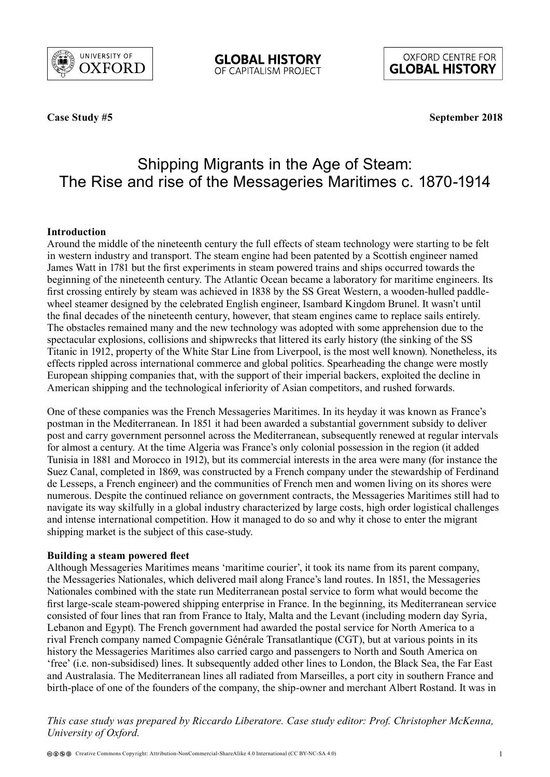

**OXFORD CENTRE FOR GLOBAL HISTORY** 

**Case Study #5** 

**September 2018**

# Shipping Migrants in the Age of Steam: The Rise and rise of the Messageries Maritimes c. 1870-1914

## **Introduction**

Around the middle of the nineteenth century the full effects of steam technology were starting to be felt in western industry and transport. The steam engine had been patented by a Scottish engineer named James Watt in 1781 but the first experiments in steam powered trains and ships occurred towards the beginning of the nineteenth century. The Atlantic Ocean became a laboratory for maritime engineers. Its first crossing entirely by steam was achieved in 1838 by the SS Great Western, a wooden-hulled paddlewheel steamer designed by the celebrated English engineer, Isambard Kingdom Brunel. It wasn't until the final decades of the nineteenth century, however, that steam engines came to replace sails entirely. The obstacles remained many and the new technology was adopted with some apprehension due to the spectacular explosions, collisions and shipwrecks that littered its early history (the sinking of the SS Titanic in 1912, property of the White Star Line from Liverpool, is the most well known). Nonetheless, its effects rippled across international commerce and global politics. Spearheading the change were mostly European shipping companies that, with the support of their imperial backers, exploited the decline in American shipping and the technological inferiority of Asian competitors, and rushed forwards.

One of these companies was the French Messageries Maritimes. In its heyday it was known as France's postman in the Mediterranean. In 1851 it had been awarded a substantial government subsidy to deliver post and carry government personnel across the Mediterranean, subsequently renewed at regular intervals for almost a century. At the time Algeria was France's only colonial possession in the region (it added Tunisia in 1881 and Morocco in 1912), but its commercial interests in the area were many (for instance the Suez Canal, completed in 1869, was constructed by a French company under the stewardship of Ferdinand de Lesseps, a French engineer) and the communities of French men and women living on its shores were numerous. Despite the continued reliance on government contracts, the Messageries Maritimes still had to navigate its way skilfully in a global industry characterized by large costs, high order logistical challenges and intense international competition. How it managed to do so and why it chose to enter the migrant shipping market is the subject of this case-study.

#### **Building a steam powered fleet**

Although Messageries Maritimes means 'maritime courier', it took its name from its parent company, the Messageries Nationales, which delivered mail along France's land routes. In 1851, the Messageries Nationales combined with the state run Mediterranean postal service to form what would become the first large-scale steam-powered shipping enterprise in France. In the beginning, its Mediterranean service consisted of four lines that ran from France to Italy, Malta and the Levant (including modern day Syria, Lebanon and Egypt). The French government had awarded the postal service for North America to a rival French company named Compagnie Générale Transatlantique (CGT), but at various points in its history the Messageries Maritimes also carried cargo and passengers to North and South America on 'free' (i.e. non-subsidised) lines. It subsequently added other lines to London, the Black Sea, the Far East and Australasia. The Mediterranean lines all radiated from Marseilles, a port city in southern France and birth-place of one of the founders of the company, the ship-owner and merchant Albert Rostand. It was in

*This case study was prepared by Riccardo Liberatore. Case study editor: Prof. Christopher McKenna, University of Oxford.*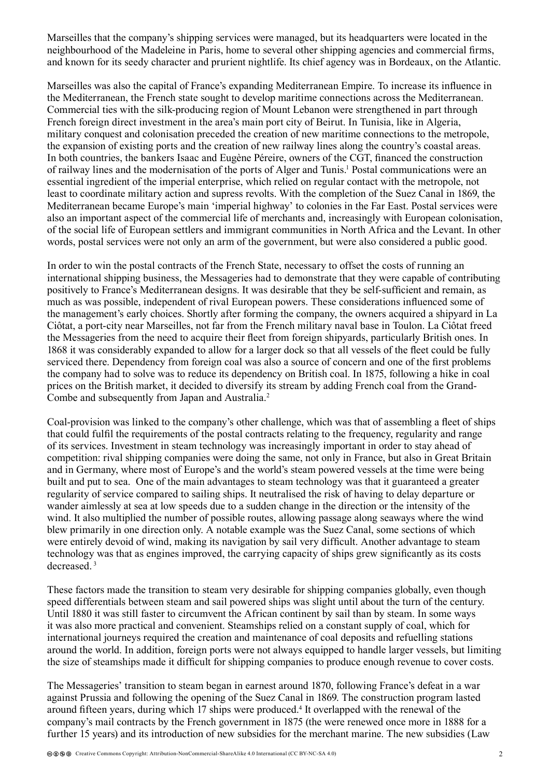Marseilles that the company's shipping services were managed, but its headquarters were located in the neighbourhood of the Madeleine in Paris, home to several other shipping agencies and commercial firms, and known for its seedy character and prurient nightlife. Its chief agency was in Bordeaux, on the Atlantic.

Marseilles was also the capital of France's expanding Mediterranean Empire. To increase its influence in the Mediterranean, the French state sought to develop maritime connections across the Mediterranean. Commercial ties with the silk-producing region of Mount Lebanon were strengthened in part through French foreign direct investment in the area's main port city of Beirut. In Tunisia, like in Algeria, military conquest and colonisation preceded the creation of new maritime connections to the metropole, the expansion of existing ports and the creation of new railway lines along the country's coastal areas. In both countries, the bankers Isaac and Eugène Péreire, owners of the CGT, financed the construction of railway lines and the modernisation of the ports of Alger and Tunis.<sup>1</sup> Postal communications were an essential ingredient of the imperial enterprise, which relied on regular contact with the metropole, not least to coordinate military action and supress revolts. With the completion of the Suez Canal in 1869, the Mediterranean became Europe's main 'imperial highway' to colonies in the Far East. Postal services were also an important aspect of the commercial life of merchants and, increasingly with European colonisation, of the social life of European settlers and immigrant communities in North Africa and the Levant. In other words, postal services were not only an arm of the government, but were also considered a public good.

In order to win the postal contracts of the French State, necessary to offset the costs of running an international shipping business, the Messageries had to demonstrate that they were capable of contributing positively to France's Mediterranean designs. It was desirable that they be self-sufficient and remain, as much as was possible, independent of rival European powers. These considerations influenced some of the management's early choices. Shortly after forming the company, the owners acquired a shipyard in La Ciôtat, a port-city near Marseilles, not far from the French military naval base in Toulon. La Ciôtat freed the Messageries from the need to acquire their fleet from foreign shipyards, particularly British ones. In 1868 it was considerably expanded to allow for a larger dock so that all vessels of the fleet could be fully serviced there. Dependency from foreign coal was also a source of concern and one of the first problems the company had to solve was to reduce its dependency on British coal. In 1875, following a hike in coal prices on the British market, it decided to diversify its stream by adding French coal from the Grand-Combe and subsequently from Japan and Australia.<sup>2</sup>

Coal-provision was linked to the company's other challenge, which was that of assembling a fleet of ships that could fulfil the requirements of the postal contracts relating to the frequency, regularity and range of its services. Investment in steam technology was increasingly important in order to stay ahead of competition: rival shipping companies were doing the same, not only in France, but also in Great Britain and in Germany, where most of Europe's and the world's steam powered vessels at the time were being built and put to sea. One of the main advantages to steam technology was that it guaranteed a greater regularity of service compared to sailing ships. It neutralised the risk of having to delay departure or wander aimlessly at sea at low speeds due to a sudden change in the direction or the intensity of the wind. It also multiplied the number of possible routes, allowing passage along seaways where the wind blew primarily in one direction only. A notable example was the Suez Canal, some sections of which were entirely devoid of wind, making its navigation by sail very difficult. Another advantage to steam technology was that as engines improved, the carrying capacity of ships grew significantly as its costs decreased<sup>3</sup>

These factors made the transition to steam very desirable for shipping companies globally, even though speed differentials between steam and sail powered ships was slight until about the turn of the century. Until 1880 it was still faster to circumvent the African continent by sail than by steam. In some ways it was also more practical and convenient. Steamships relied on a constant supply of coal, which for international journeys required the creation and maintenance of coal deposits and refuelling stations around the world. In addition, foreign ports were not always equipped to handle larger vessels, but limiting the size of steamships made it difficult for shipping companies to produce enough revenue to cover costs.

The Messageries' transition to steam began in earnest around 1870, following France's defeat in a war against Prussia and following the opening of the Suez Canal in 1869. The construction program lasted around fifteen years, during which 17 ships were produced.<sup>4</sup> It overlapped with the renewal of the company's mail contracts by the French government in 1875 (the were renewed once more in 1888 for a further 15 years) and its introduction of new subsidies for the merchant marine. The new subsidies (Law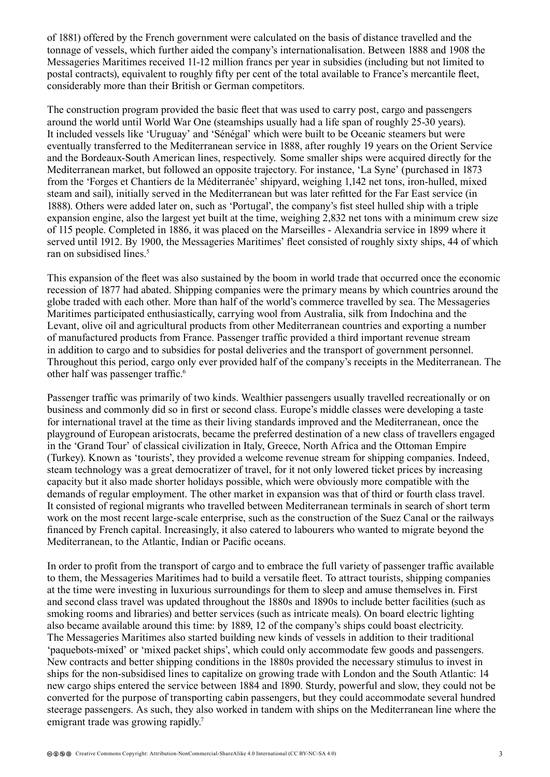of 1881) offered by the French government were calculated on the basis of distance travelled and the tonnage of vessels, which further aided the company's internationalisation. Between 1888 and 1908 the Messageries Maritimes received 11-12 million francs per year in subsidies (including but not limited to postal contracts), equivalent to roughly fifty per cent of the total available to France's mercantile fleet, considerably more than their British or German competitors.

The construction program provided the basic fleet that was used to carry post, cargo and passengers around the world until World War One (steamships usually had a life span of roughly 25-30 years). It included vessels like 'Uruguay' and 'Sénégal' which were built to be Oceanic steamers but were eventually transferred to the Mediterranean service in 1888, after roughly 19 years on the Orient Service and the Bordeaux-South American lines, respectively. Some smaller ships were acquired directly for the Mediterranean market, but followed an opposite trajectory. For instance, 'La Syne' (purchased in 1873 from the 'Forges et Chantiers de la Méditerranée' shipyard, weighing 1,142 net tons, iron-hulled, mixed steam and sail), initially served in the Mediterranean but was later refitted for the Far East service (in 1888). Others were added later on, such as 'Portugal', the company's fist steel hulled ship with a triple expansion engine, also the largest yet built at the time, weighing 2,832 net tons with a minimum crew size of 115 people. Completed in 1886, it was placed on the Marseilles - Alexandria service in 1899 where it served until 1912. By 1900, the Messageries Maritimes' fleet consisted of roughly sixty ships, 44 of which ran on subsidised lines.<sup>5</sup>

This expansion of the fleet was also sustained by the boom in world trade that occurred once the economic recession of 1877 had abated. Shipping companies were the primary means by which countries around the globe traded with each other. More than half of the world's commerce travelled by sea. The Messageries Maritimes participated enthusiastically, carrying wool from Australia, silk from Indochina and the Levant, olive oil and agricultural products from other Mediterranean countries and exporting a number of manufactured products from France. Passenger traffic provided a third important revenue stream in addition to cargo and to subsidies for postal deliveries and the transport of government personnel. Throughout this period, cargo only ever provided half of the company's receipts in the Mediterranean. The other half was passenger traffic.<sup>6</sup>

Passenger traffic was primarily of two kinds. Wealthier passengers usually travelled recreationally or on business and commonly did so in first or second class. Europe's middle classes were developing a taste for international travel at the time as their living standards improved and the Mediterranean, once the playground of European aristocrats, became the preferred destination of a new class of travellers engaged in the 'Grand Tour' of classical civilization in Italy, Greece, North Africa and the Ottoman Empire (Turkey). Known as 'tourists', they provided a welcome revenue stream for shipping companies. Indeed, steam technology was a great democratizer of travel, for it not only lowered ticket prices by increasing capacity but it also made shorter holidays possible, which were obviously more compatible with the demands of regular employment. The other market in expansion was that of third or fourth class travel. It consisted of regional migrants who travelled between Mediterranean terminals in search of short term work on the most recent large-scale enterprise, such as the construction of the Suez Canal or the railways financed by French capital. Increasingly, it also catered to labourers who wanted to migrate beyond the Mediterranean, to the Atlantic, Indian or Pacific oceans.

In order to profit from the transport of cargo and to embrace the full variety of passenger traffic available to them, the Messageries Maritimes had to build a versatile fleet. To attract tourists, shipping companies at the time were investing in luxurious surroundings for them to sleep and amuse themselves in. First and second class travel was updated throughout the 1880s and 1890s to include better facilities (such as smoking rooms and libraries) and better services (such as intricate meals). On board electric lighting also became available around this time: by 1889, 12 of the company's ships could boast electricity. The Messageries Maritimes also started building new kinds of vessels in addition to their traditional 'paquebots-mixed' or 'mixed packet ships', which could only accommodate few goods and passengers. New contracts and better shipping conditions in the 1880s provided the necessary stimulus to invest in ships for the non-subsidised lines to capitalize on growing trade with London and the South Atlantic: 14 new cargo ships entered the service between 1884 and 1890. Sturdy, powerful and slow, they could not be converted for the purpose of transporting cabin passengers, but they could accommodate several hundred steerage passengers. As such, they also worked in tandem with ships on the Mediterranean line where the emigrant trade was growing rapidly.<sup>7</sup>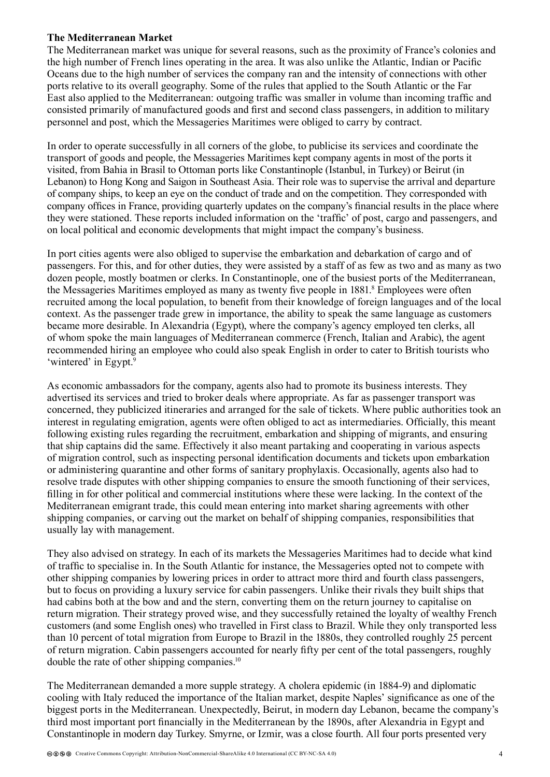### **The Mediterranean Market**

The Mediterranean market was unique for several reasons, such as the proximity of France's colonies and the high number of French lines operating in the area. It was also unlike the Atlantic, Indian or Pacific Oceans due to the high number of services the company ran and the intensity of connections with other ports relative to its overall geography. Some of the rules that applied to the South Atlantic or the Far East also applied to the Mediterranean: outgoing traffic was smaller in volume than incoming traffic and consisted primarily of manufactured goods and first and second class passengers, in addition to military personnel and post, which the Messageries Maritimes were obliged to carry by contract.

In order to operate successfully in all corners of the globe, to publicise its services and coordinate the transport of goods and people, the Messageries Maritimes kept company agents in most of the ports it visited, from Bahia in Brasil to Ottoman ports like Constantinople (Istanbul, in Turkey) or Beirut (in Lebanon) to Hong Kong and Saigon in Southeast Asia. Their role was to supervise the arrival and departure of company ships, to keep an eye on the conduct of trade and on the competition. They corresponded with company offices in France, providing quarterly updates on the company's financial results in the place where they were stationed. These reports included information on the 'traffic' of post, cargo and passengers, and on local political and economic developments that might impact the company's business.

In port cities agents were also obliged to supervise the embarkation and debarkation of cargo and of passengers. For this, and for other duties, they were assisted by a staff of as few as two and as many as two dozen people, mostly boatmen or clerks. In Constantinople, one of the busiest ports of the Mediterranean, the Messageries Maritimes employed as many as twenty five people in 1881.<sup>8</sup> Employees were often recruited among the local population, to benefit from their knowledge of foreign languages and of the local context. As the passenger trade grew in importance, the ability to speak the same language as customers became more desirable. In Alexandria (Egypt), where the company's agency employed ten clerks, all of whom spoke the main languages of Mediterranean commerce (French, Italian and Arabic), the agent recommended hiring an employee who could also speak English in order to cater to British tourists who 'wintered' in Egypt.<sup>9</sup>

As economic ambassadors for the company, agents also had to promote its business interests. They advertised its services and tried to broker deals where appropriate. As far as passenger transport was concerned, they publicized itineraries and arranged for the sale of tickets. Where public authorities took an interest in regulating emigration, agents were often obliged to act as intermediaries. Officially, this meant following existing rules regarding the recruitment, embarkation and shipping of migrants, and ensuring that ship captains did the same. Effectively it also meant partaking and cooperating in various aspects of migration control, such as inspecting personal identification documents and tickets upon embarkation or administering quarantine and other forms of sanitary prophylaxis. Occasionally, agents also had to resolve trade disputes with other shipping companies to ensure the smooth functioning of their services, filling in for other political and commercial institutions where these were lacking. In the context of the Mediterranean emigrant trade, this could mean entering into market sharing agreements with other shipping companies, or carving out the market on behalf of shipping companies, responsibilities that usually lay with management.

They also advised on strategy. In each of its markets the Messageries Maritimes had to decide what kind of traffic to specialise in. In the South Atlantic for instance, the Messageries opted not to compete with other shipping companies by lowering prices in order to attract more third and fourth class passengers, but to focus on providing a luxury service for cabin passengers. Unlike their rivals they built ships that had cabins both at the bow and and the stern, converting them on the return journey to capitalise on return migration. Their strategy proved wise, and they successfully retained the loyalty of wealthy French customers (and some English ones) who travelled in First class to Brazil. While they only transported less than 10 percent of total migration from Europe to Brazil in the 1880s, they controlled roughly 25 percent of return migration. Cabin passengers accounted for nearly fifty per cent of the total passengers, roughly double the rate of other shipping companies.<sup>10</sup>

The Mediterranean demanded a more supple strategy. A cholera epidemic (in 1884-9) and diplomatic cooling with Italy reduced the importance of the Italian market, despite Naples' significance as one of the biggest ports in the Mediterranean. Unexpectedly, Beirut, in modern day Lebanon, became the company's third most important port financially in the Mediterranean by the 1890s, after Alexandria in Egypt and Constantinople in modern day Turkey. Smyrne, or Izmir, was a close fourth. All four ports presented very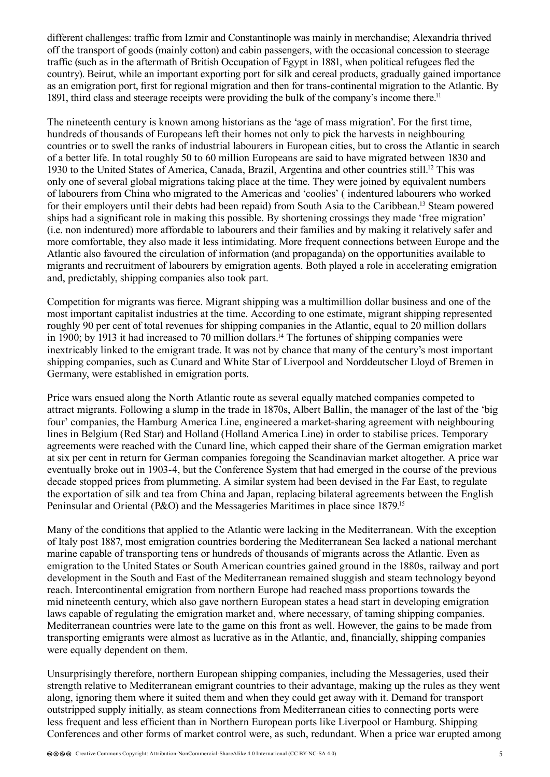different challenges: traffic from Izmir and Constantinople was mainly in merchandise; Alexandria thrived off the transport of goods (mainly cotton) and cabin passengers, with the occasional concession to steerage traffic (such as in the aftermath of British Occupation of Egypt in 1881, when political refugees fled the country). Beirut, while an important exporting port for silk and cereal products, gradually gained importance as an emigration port, first for regional migration and then for trans-continental migration to the Atlantic. By 1891, third class and steerage receipts were providing the bulk of the company's income there.<sup>11</sup>

The nineteenth century is known among historians as the 'age of mass migration'. For the first time, hundreds of thousands of Europeans left their homes not only to pick the harvests in neighbouring countries or to swell the ranks of industrial labourers in European cities, but to cross the Atlantic in search of a better life. In total roughly 50 to 60 million Europeans are said to have migrated between 1830 and 1930 to the United States of America, Canada, Brazil, Argentina and other countries still.12 This was only one of several global migrations taking place at the time. They were joined by equivalent numbers of labourers from China who migrated to the Americas and 'coolies' ( indentured labourers who worked for their employers until their debts had been repaid) from South Asia to the Caribbean.13 Steam powered ships had a significant role in making this possible. By shortening crossings they made 'free migration' (i.e. non indentured) more affordable to labourers and their families and by making it relatively safer and more comfortable, they also made it less intimidating. More frequent connections between Europe and the Atlantic also favoured the circulation of information (and propaganda) on the opportunities available to migrants and recruitment of labourers by emigration agents. Both played a role in accelerating emigration and, predictably, shipping companies also took part.

Competition for migrants was fierce. Migrant shipping was a multimillion dollar business and one of the most important capitalist industries at the time. According to one estimate, migrant shipping represented roughly 90 per cent of total revenues for shipping companies in the Atlantic, equal to 20 million dollars in 1900; by 1913 it had increased to 70 million dollars.<sup>14</sup> The fortunes of shipping companies were inextricably linked to the emigrant trade. It was not by chance that many of the century's most important shipping companies, such as Cunard and White Star of Liverpool and Norddeutscher Lloyd of Bremen in Germany, were established in emigration ports.

Price wars ensued along the North Atlantic route as several equally matched companies competed to attract migrants. Following a slump in the trade in 1870s, Albert Ballin, the manager of the last of the 'big four' companies, the Hamburg America Line, engineered a market-sharing agreement with neighbouring lines in Belgium (Red Star) and Holland (Holland America Line) in order to stabilise prices. Temporary agreements were reached with the Cunard line, which capped their share of the German emigration market at six per cent in return for German companies foregoing the Scandinavian market altogether. A price war eventually broke out in 1903-4, but the Conference System that had emerged in the course of the previous decade stopped prices from plummeting. A similar system had been devised in the Far East, to regulate the exportation of silk and tea from China and Japan, replacing bilateral agreements between the English Peninsular and Oriental (P&O) and the Messageries Maritimes in place since 1879.<sup>15</sup>

Many of the conditions that applied to the Atlantic were lacking in the Mediterranean. With the exception of Italy post 1887, most emigration countries bordering the Mediterranean Sea lacked a national merchant marine capable of transporting tens or hundreds of thousands of migrants across the Atlantic. Even as emigration to the United States or South American countries gained ground in the 1880s, railway and port development in the South and East of the Mediterranean remained sluggish and steam technology beyond reach. Intercontinental emigration from northern Europe had reached mass proportions towards the mid nineteenth century, which also gave northern European states a head start in developing emigration laws capable of regulating the emigration market and, where necessary, of taming shipping companies. Mediterranean countries were late to the game on this front as well. However, the gains to be made from transporting emigrants were almost as lucrative as in the Atlantic, and, financially, shipping companies were equally dependent on them.

Unsurprisingly therefore, northern European shipping companies, including the Messageries, used their strength relative to Mediterranean emigrant countries to their advantage, making up the rules as they went along, ignoring them where it suited them and when they could get away with it. Demand for transport outstripped supply initially, as steam connections from Mediterranean cities to connecting ports were less frequent and less efficient than in Northern European ports like Liverpool or Hamburg. Shipping Conferences and other forms of market control were, as such, redundant. When a price war erupted among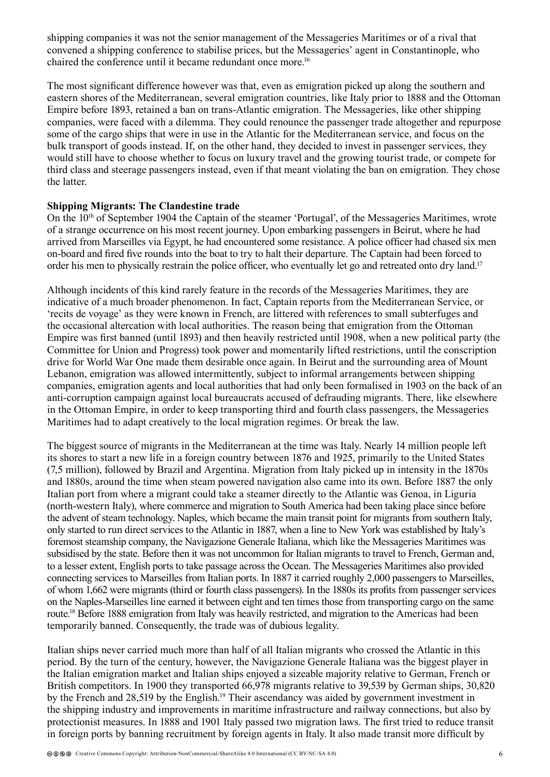shipping companies it was not the senior management of the Messageries Maritimes or of a rival that convened a shipping conference to stabilise prices, but the Messageries' agent in Constantinople, who chaired the conference until it became redundant once more.<sup>16</sup>

The most significant difference however was that, even as emigration picked up along the southern and eastern shores of the Mediterranean, several emigration countries, like Italy prior to 1888 and the Ottoman Empire before 1893, retained a ban on trans-Atlantic emigration. The Messageries, like other shipping companies, were faced with a dilemma. They could renounce the passenger trade altogether and repurpose some of the cargo ships that were in use in the Atlantic for the Mediterranean service, and focus on the bulk transport of goods instead. If, on the other hand, they decided to invest in passenger services, they would still have to choose whether to focus on luxury travel and the growing tourist trade, or compete for third class and steerage passengers instead, even if that meant violating the ban on emigration. They chose the latter.

#### **Shipping Migrants: The Clandestine trade**

On the 10th of September 1904 the Captain of the steamer 'Portugal', of the Messageries Maritimes, wrote of a strange occurrence on his most recent journey. Upon embarking passengers in Beirut, where he had arrived from Marseilles via Egypt, he had encountered some resistance. A police officer had chased six men on-board and fired five rounds into the boat to try to halt their departure. The Captain had been forced to order his men to physically restrain the police officer, who eventually let go and retreated onto dry land.<sup>17</sup>

Although incidents of this kind rarely feature in the records of the Messageries Maritimes, they are indicative of a much broader phenomenon. In fact, Captain reports from the Mediterranean Service, or 'recits de voyage' as they were known in French, are littered with references to small subterfuges and the occasional altercation with local authorities. The reason being that emigration from the Ottoman Empire was first banned (until 1893) and then heavily restricted until 1908, when a new political party (the Committee for Union and Progress) took power and momentarily lifted restrictions, until the conscription drive for World War One made them desirable once again. In Beirut and the surrounding area of Mount Lebanon, emigration was allowed intermittently, subject to informal arrangements between shipping companies, emigration agents and local authorities that had only been formalised in 1903 on the back of an anti-corruption campaign against local bureaucrats accused of defrauding migrants. There, like elsewhere in the Ottoman Empire, in order to keep transporting third and fourth class passengers, the Messageries Maritimes had to adapt creatively to the local migration regimes. Or break the law.

The biggest source of migrants in the Mediterranean at the time was Italy. Nearly 14 million people left its shores to start a new life in a foreign country between 1876 and 1925, primarily to the United States (7,5 million), followed by Brazil and Argentina. Migration from Italy picked up in intensity in the 1870s and 1880s, around the time when steam powered navigation also came into its own. Before 1887 the only Italian port from where a migrant could take a steamer directly to the Atlantic was Genoa, in Liguria (north-western Italy), where commerce and migration to South America had been taking place since before the advent of steam technology. Naples, which became the main transit point for migrants from southern Italy, only started to run direct services to the Atlantic in 1887, when a line to New York was established by Italy's foremost steamship company, the Navigazione Generale Italiana, which like the Messageries Maritimes was subsidised by the state. Before then it was not uncommon for Italian migrants to travel to French, German and, to a lesser extent, English ports to take passage across the Ocean. The Messageries Maritimes also provided connecting services to Marseilles from Italian ports. In 1887 it carried roughly 2,000 passengers to Marseilles, of whom 1,662 were migrants (third or fourth class passengers). In the 1880s its profits from passenger services on the Naples-Marseilles line earned it between eight and ten times those from transporting cargo on the same route.<sup>18</sup> Before 1888 emigration from Italy was heavily restricted, and migration to the Americas had been temporarily banned. Consequently, the trade was of dubious legality.

Italian ships never carried much more than half of all Italian migrants who crossed the Atlantic in this period. By the turn of the century, however, the Navigazione Generale Italiana was the biggest player in the Italian emigration market and Italian ships enjoyed a sizeable majority relative to German, French or British competitors. In 1900 they transported 66,978 migrants relative to 39,539 by German ships, 30,820 by the French and 28,519 by the English.<sup>19</sup> Their ascendancy was aided by government investment in the shipping industry and improvements in maritime infrastructure and railway connections, but also by protectionist measures. In 1888 and 1901 Italy passed two migration laws. The first tried to reduce transit in foreign ports by banning recruitment by foreign agents in Italy. It also made transit more difficult by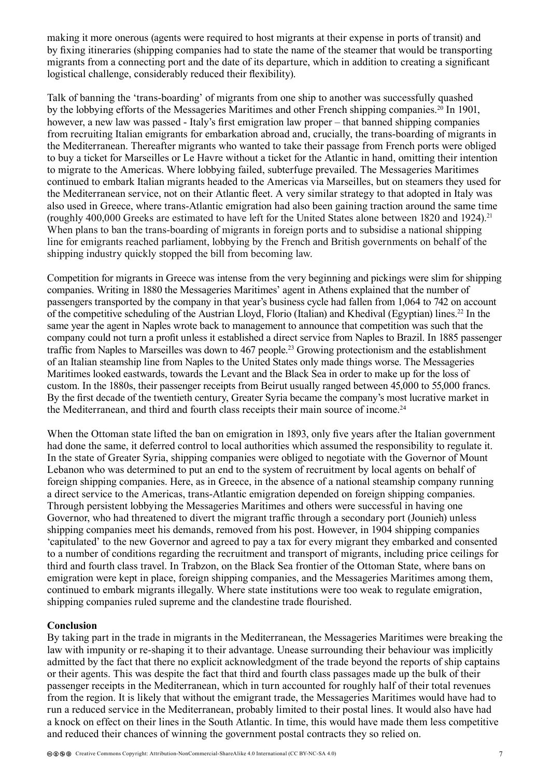making it more onerous (agents were required to host migrants at their expense in ports of transit) and by fixing itineraries (shipping companies had to state the name of the steamer that would be transporting migrants from a connecting port and the date of its departure, which in addition to creating a significant logistical challenge, considerably reduced their flexibility).

Talk of banning the 'trans-boarding' of migrants from one ship to another was successfully quashed by the lobbying efforts of the Messageries Maritimes and other French shipping companies.<sup>20</sup> In 1901, however, a new law was passed - Italy's first emigration law proper – that banned shipping companies from recruiting Italian emigrants for embarkation abroad and, crucially, the trans-boarding of migrants in the Mediterranean. Thereafter migrants who wanted to take their passage from French ports were obliged to buy a ticket for Marseilles or Le Havre without a ticket for the Atlantic in hand, omitting their intention to migrate to the Americas. Where lobbying failed, subterfuge prevailed. The Messageries Maritimes continued to embark Italian migrants headed to the Americas via Marseilles, but on steamers they used for the Mediterranean service, not on their Atlantic fleet. A very similar strategy to that adopted in Italy was also used in Greece, where trans-Atlantic emigration had also been gaining traction around the same time (roughly 400,000 Greeks are estimated to have left for the United States alone between 1820 and 1924).<sup>21</sup> When plans to ban the trans-boarding of migrants in foreign ports and to subsidise a national shipping line for emigrants reached parliament, lobbying by the French and British governments on behalf of the shipping industry quickly stopped the bill from becoming law.

Competition for migrants in Greece was intense from the very beginning and pickings were slim for shipping companies. Writing in 1880 the Messageries Maritimes' agent in Athens explained that the number of passengers transported by the company in that year's business cycle had fallen from 1,064 to 742 on account of the competitive scheduling of the Austrian Lloyd, Florio (Italian) and Khedival (Egyptian) lines.22 In the same year the agent in Naples wrote back to management to announce that competition was such that the company could not turn a profit unless it established a direct service from Naples to Brazil. In 1885 passenger traffic from Naples to Marseilles was down to 467 people.<sup>23</sup> Growing protectionism and the establishment of an Italian steamship line from Naples to the United States only made things worse. The Messageries Maritimes looked eastwards, towards the Levant and the Black Sea in order to make up for the loss of custom. In the 1880s, their passenger receipts from Beirut usually ranged between 45,000 to 55,000 francs. By the first decade of the twentieth century, Greater Syria became the company's most lucrative market in the Mediterranean, and third and fourth class receipts their main source of income.<sup>24</sup>

When the Ottoman state lifted the ban on emigration in 1893, only five years after the Italian government had done the same, it deferred control to local authorities which assumed the responsibility to regulate it. In the state of Greater Syria, shipping companies were obliged to negotiate with the Governor of Mount Lebanon who was determined to put an end to the system of recruitment by local agents on behalf of foreign shipping companies. Here, as in Greece, in the absence of a national steamship company running a direct service to the Americas, trans-Atlantic emigration depended on foreign shipping companies. Through persistent lobbying the Messageries Maritimes and others were successful in having one Governor, who had threatened to divert the migrant traffic through a secondary port (Jounieh) unless shipping companies meet his demands, removed from his post. However, in 1904 shipping companies 'capitulated' to the new Governor and agreed to pay a tax for every migrant they embarked and consented to a number of conditions regarding the recruitment and transport of migrants, including price ceilings for third and fourth class travel. In Trabzon, on the Black Sea frontier of the Ottoman State, where bans on emigration were kept in place, foreign shipping companies, and the Messageries Maritimes among them, continued to embark migrants illegally. Where state institutions were too weak to regulate emigration, shipping companies ruled supreme and the clandestine trade flourished.

#### **Conclusion**

By taking part in the trade in migrants in the Mediterranean, the Messageries Maritimes were breaking the law with impunity or re-shaping it to their advantage. Unease surrounding their behaviour was implicitly admitted by the fact that there no explicit acknowledgment of the trade beyond the reports of ship captains or their agents. This was despite the fact that third and fourth class passages made up the bulk of their passenger receipts in the Mediterranean, which in turn accounted for roughly half of their total revenues from the region. It is likely that without the emigrant trade, the Messageries Maritimes would have had to run a reduced service in the Mediterranean, probably limited to their postal lines. It would also have had a knock on effect on their lines in the South Atlantic. In time, this would have made them less competitive and reduced their chances of winning the government postal contracts they so relied on.